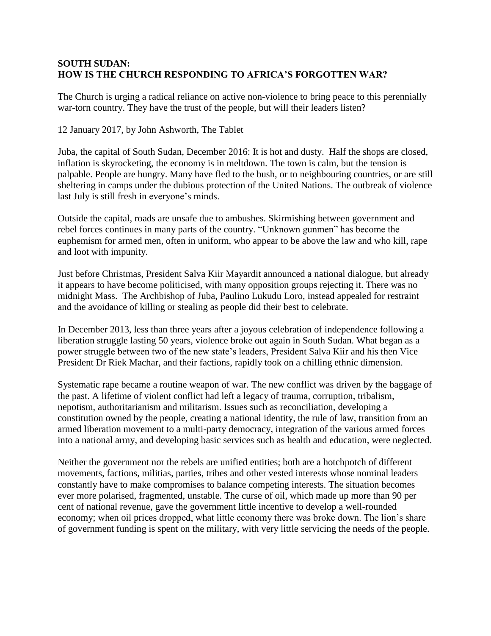## **SOUTH SUDAN: HOW IS THE CHURCH RESPONDING TO AFRICA'S FORGOTTEN WAR?**

The Church is urging a radical reliance on active non-violence to bring peace to this perennially war-torn country. They have the trust of the people, but will their leaders listen?

12 January 2017, by John Ashworth, The Tablet

Juba, the capital of South Sudan, December 2016: It is hot and dusty. Half the shops are closed, inflation is skyrocketing, the economy is in meltdown. The town is calm, but the tension is palpable. People are hungry. Many have fled to the bush, or to neighbouring countries, or are still sheltering in camps under the dubious protection of the United Nations. The outbreak of violence last July is still fresh in everyone's minds.

Outside the capital, roads are unsafe due to ambushes. Skirmishing between government and rebel forces continues in many parts of the country. "Unknown gunmen" has become the euphemism for armed men, often in uniform, who appear to be above the law and who kill, rape and loot with impunity.

Just before Christmas, President Salva Kiir Mayardit announced a national dialogue, but already it appears to have become politicised, with many opposition groups rejecting it. There was no midnight Mass. The Archbishop of Juba, Paulino Lukudu Loro, instead appealed for restraint and the avoidance of killing or stealing as people did their best to celebrate.

In December 2013, less than three years after a joyous celebration of independence following a liberation struggle lasting 50 years, violence broke out again in South Sudan. What began as a power struggle between two of the new state's leaders, President Salva Kiir and his then Vice President Dr Riek Machar, and their factions, rapidly took on a chilling ethnic dimension.

Systematic rape became a routine weapon of war. The new conflict was driven by the baggage of the past. A lifetime of violent conflict had left a legacy of trauma, corruption, tribalism, nepotism, authoritarianism and militarism. Issues such as reconciliation, developing a constitution owned by the people, creating a national identity, the rule of law, transition from an armed liberation movement to a multi-party democracy, integration of the various armed forces into a national army, and developing basic services such as health and education, were neglected.

Neither the government nor the rebels are unified entities; both are a hotchpotch of different movements, factions, militias, parties, tribes and other vested interests whose nominal leaders constantly have to make compromises to balance competing interests. The situation becomes ever more polarised, fragmented, unstable. The curse of oil, which made up more than 90 per cent of national revenue, gave the government little incentive to develop a well-rounded economy; when oil prices dropped, what little economy there was broke down. The lion's share of government funding is spent on the military, with very little servicing the needs of the people.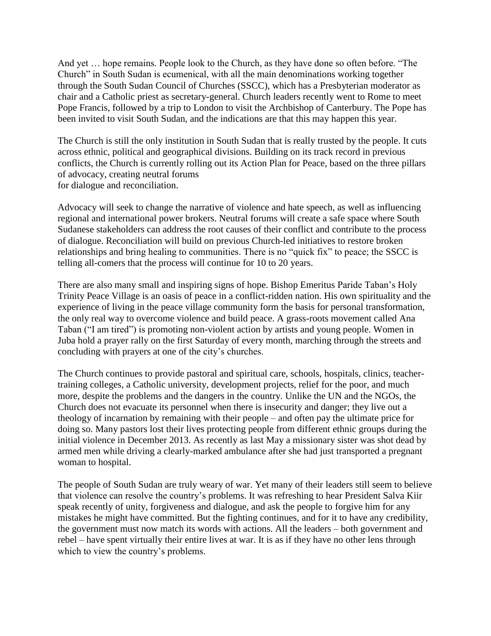And yet … hope remains. People look to the Church, as they have done so often before. "The Church" in South Sudan is ecumenical, with all the main denominations working together through the South Sudan Council of Churches (SSCC), which has a Presbyterian moderator as chair and a Catholic priest as secretary-general. Church leaders recently went to Rome to meet Pope Francis, followed by a trip to London to visit the Archbishop of Canterbury. The Pope has been invited to visit South Sudan, and the indications are that this may happen this year.

The Church is still the only institution in South Sudan that is really trusted by the people. It cuts across ethnic, political and geographical divisions. Building on its track record in previous conflicts, the Church is currently rolling out its Action Plan for Peace, based on the three pillars of advocacy, creating neutral forums for dialogue and reconciliation.

Advocacy will seek to change the narrative of violence and hate speech, as well as influencing regional and international power brokers. Neutral forums will create a safe space where South Sudanese stakeholders can address the root causes of their conflict and contribute to the process of dialogue. Reconciliation will build on previous Church-led initiatives to restore broken relationships and bring healing to communities. There is no "quick fix" to peace; the SSCC is telling all-comers that the process will continue for 10 to 20 years.

There are also many small and inspiring signs of hope. Bishop Emeritus Paride Taban's Holy Trinity Peace Village is an oasis of peace in a conflict-ridden nation. His own spirituality and the experience of living in the peace village community form the basis for personal transformation, the only real way to overcome violence and build peace. A grass-roots movement called Ana Taban ("I am tired") is promoting non-violent action by artists and young people. Women in Juba hold a prayer rally on the first Saturday of every month, marching through the streets and concluding with prayers at one of the city's churches.

The Church continues to provide pastoral and spiritual care, schools, hospitals, clinics, teachertraining colleges, a Catholic university, development projects, relief for the poor, and much more, despite the problems and the dangers in the country. Unlike the UN and the NGOs, the Church does not evacuate its personnel when there is insecurity and danger; they live out a theology of incarnation by remaining with their people – and often pay the ultimate price for doing so. Many pastors lost their lives protecting people from different ethnic groups during the initial violence in December 2013. As recently as last May a missionary sister was shot dead by armed men while driving a clearly-marked ambulance after she had just transported a pregnant woman to hospital.

The people of South Sudan are truly weary of war. Yet many of their leaders still seem to believe that violence can resolve the country's problems. It was refreshing to hear President Salva Kiir speak recently of unity, forgiveness and dialogue, and ask the people to forgive him for any mistakes he might have committed. But the fighting continues, and for it to have any credibility, the government must now match its words with actions. All the leaders – both government and rebel – have spent virtually their entire lives at war. It is as if they have no other lens through which to view the country's problems.